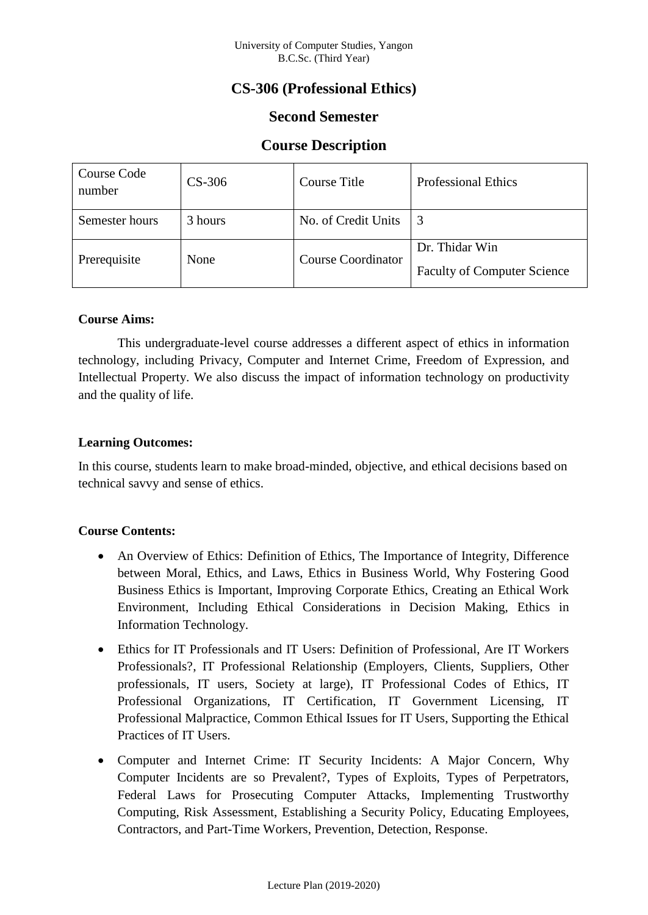# **CS-306 (Professional Ethics)**

## **Second Semester**

## **Course Description**

| Course Code<br>number | $CS-306$ | Course Title              | <b>Professional Ethics</b>                           |
|-----------------------|----------|---------------------------|------------------------------------------------------|
| Semester hours        | 3 hours  | No. of Credit Units       | 3                                                    |
| Prerequisite          | None     | <b>Course Coordinator</b> | Dr. Thidar Win<br><b>Faculty of Computer Science</b> |

### **Course Aims:**

This undergraduate-level course addresses a different aspect of ethics in information technology, including Privacy, Computer and Internet Crime, Freedom of Expression, and Intellectual Property. We also discuss the impact of information technology on productivity and the quality of life.

## **Learning Outcomes:**

In this course, students learn to make broad-minded, objective, and ethical decisions based on technical savvy and sense of ethics.

## **Course Contents:**

- An Overview of Ethics: Definition of Ethics, The Importance of Integrity, Difference between Moral, Ethics, and Laws, Ethics in Business World, Why Fostering Good Business Ethics is Important, Improving Corporate Ethics, Creating an Ethical Work Environment, Including Ethical Considerations in Decision Making, Ethics in Information Technology.
- Ethics for IT Professionals and IT Users: Definition of Professional, Are IT Workers Professionals?, IT Professional Relationship (Employers, Clients, Suppliers, Other professionals, IT users, Society at large), IT Professional Codes of Ethics, IT Professional Organizations, IT Certification, IT Government Licensing, IT Professional Malpractice, Common Ethical Issues for IT Users, Supporting the Ethical Practices of IT Users.
- Computer and Internet Crime: IT Security Incidents: A Major Concern, Why Computer Incidents are so Prevalent?, Types of Exploits, Types of Perpetrators, Federal Laws for Prosecuting Computer Attacks, Implementing Trustworthy Computing, Risk Assessment, Establishing a Security Policy, Educating Employees, Contractors, and Part-Time Workers, Prevention, Detection, Response.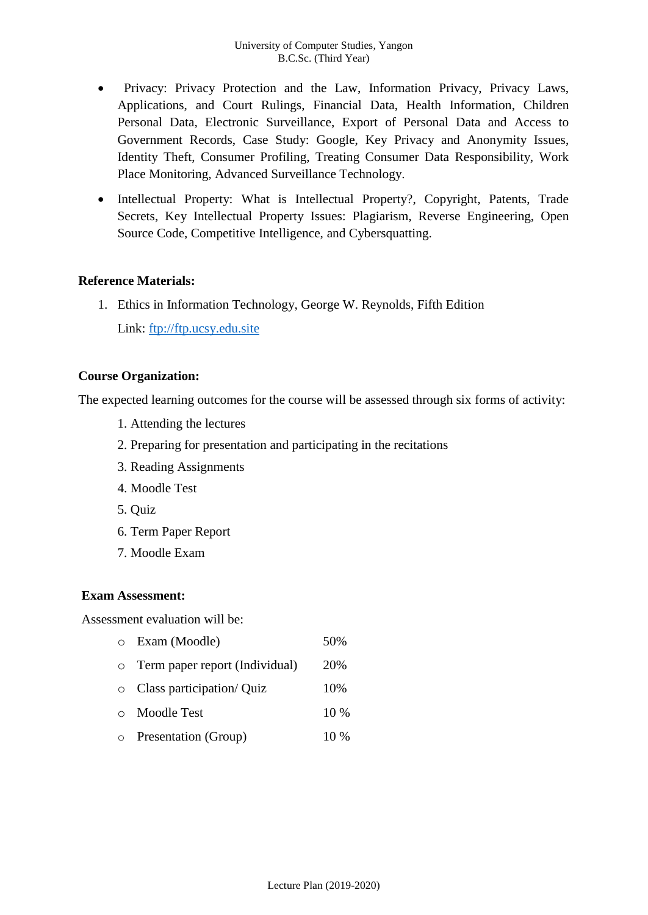- Privacy: Privacy Protection and the Law, Information Privacy, Privacy Laws, Applications, and Court Rulings, Financial Data, Health Information, Children Personal Data, Electronic Surveillance, Export of Personal Data and Access to Government Records, Case Study: Google, Key Privacy and Anonymity Issues, Identity Theft, Consumer Profiling, Treating Consumer Data Responsibility, Work Place Monitoring, Advanced Surveillance Technology.
- Intellectual Property: What is Intellectual Property?, Copyright, Patents, Trade Secrets, Key Intellectual Property Issues: Plagiarism, Reverse Engineering, Open Source Code, Competitive Intelligence, and Cybersquatting.

### **Reference Materials:**

1. Ethics in Information Technology, George W. Reynolds, Fifth Edition

Link: [ftp://ftp.ucsy.edu.site](ftp://ftp.ucsy.edu.site/)

### **Course Organization:**

The expected learning outcomes for the course will be assessed through six forms of activity:

- 1. Attending the lectures
- 2. Preparing for presentation and participating in the recitations
- 3. Reading Assignments
- 4. Moodle Test
- 5. Quiz
- 6. Term Paper Report
- 7. Moodle Exam

#### **Exam Assessment:**

Assessment evaluation will be:

- o Exam (Moodle) 50% o Term paper report (Individual) 20%
- o Class participation/ Quiz 10%
- o Moodle Test 10 %
- o Presentation (Group) 10 %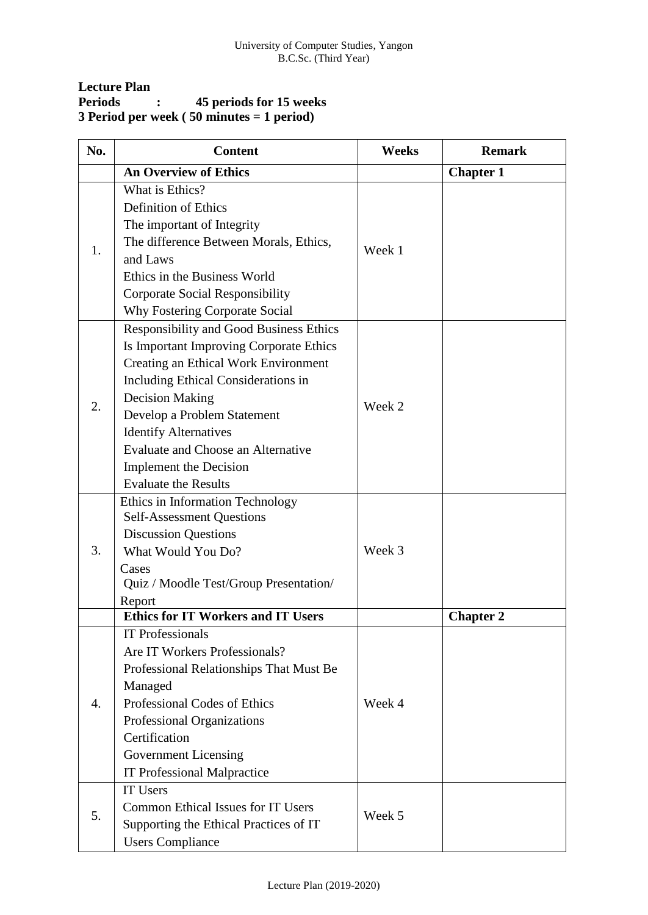| <b>Lecture Plan</b> |           |                                                             |
|---------------------|-----------|-------------------------------------------------------------|
| <b>Periods</b>      | $\bullet$ | 45 periods for 15 weeks                                     |
|                     |           | 3 Period per week $(50 \text{ minutes} = 1 \text{ period})$ |

| No.            | <b>Content</b>                                        | <b>Weeks</b> | <b>Remark</b>    |
|----------------|-------------------------------------------------------|--------------|------------------|
|                | <b>An Overview of Ethics</b>                          |              | <b>Chapter 1</b> |
|                | What is Ethics?                                       |              |                  |
|                | <b>Definition of Ethics</b>                           |              |                  |
|                | The important of Integrity                            |              |                  |
|                | The difference Between Morals, Ethics,                |              |                  |
| 1.             | and Laws                                              | Week 1       |                  |
|                | Ethics in the Business World                          |              |                  |
|                | Corporate Social Responsibility                       |              |                  |
|                | <b>Why Fostering Corporate Social</b>                 |              |                  |
|                | <b>Responsibility and Good Business Ethics</b>        |              |                  |
|                | Is Important Improving Corporate Ethics               |              |                  |
|                | Creating an Ethical Work Environment                  |              |                  |
|                | Including Ethical Considerations in                   |              |                  |
|                | <b>Decision Making</b>                                |              |                  |
| 2.             | Develop a Problem Statement                           | Week 2       |                  |
|                | <b>Identify Alternatives</b>                          |              |                  |
|                | <b>Evaluate and Choose an Alternative</b>             |              |                  |
|                | <b>Implement</b> the Decision                         |              |                  |
|                | <b>Evaluate the Results</b>                           |              |                  |
|                | Ethics in Information Technology                      |              |                  |
|                | <b>Self-Assessment Questions</b>                      |              |                  |
|                | <b>Discussion Questions</b>                           |              |                  |
| 3.             | What Would You Do?                                    | Week 3       |                  |
|                | Cases                                                 |              |                  |
|                | Quiz / Moodle Test/Group Presentation/                |              |                  |
|                | Report                                                |              |                  |
|                | <b>Ethics for IT Workers and IT Users</b>             |              | <b>Chapter 2</b> |
|                | <b>IT Professionals</b>                               |              |                  |
|                | Are IT Workers Professionals?                         |              |                  |
|                | Professional Relationships That Must Be<br>Managed    |              |                  |
|                |                                                       |              |                  |
| $\mathbf{4}$ . | Professional Codes of Ethics                          | Week 4       |                  |
|                | Professional Organizations<br>Certification           |              |                  |
|                |                                                       |              |                  |
|                | <b>Government Licensing</b>                           |              |                  |
|                | <b>IT Professional Malpractice</b><br><b>IT Users</b> |              |                  |
|                | <b>Common Ethical Issues for IT Users</b>             |              |                  |
| 5.             |                                                       | Week 5       |                  |
|                | Supporting the Ethical Practices of IT                |              |                  |
|                | <b>Users Compliance</b>                               |              |                  |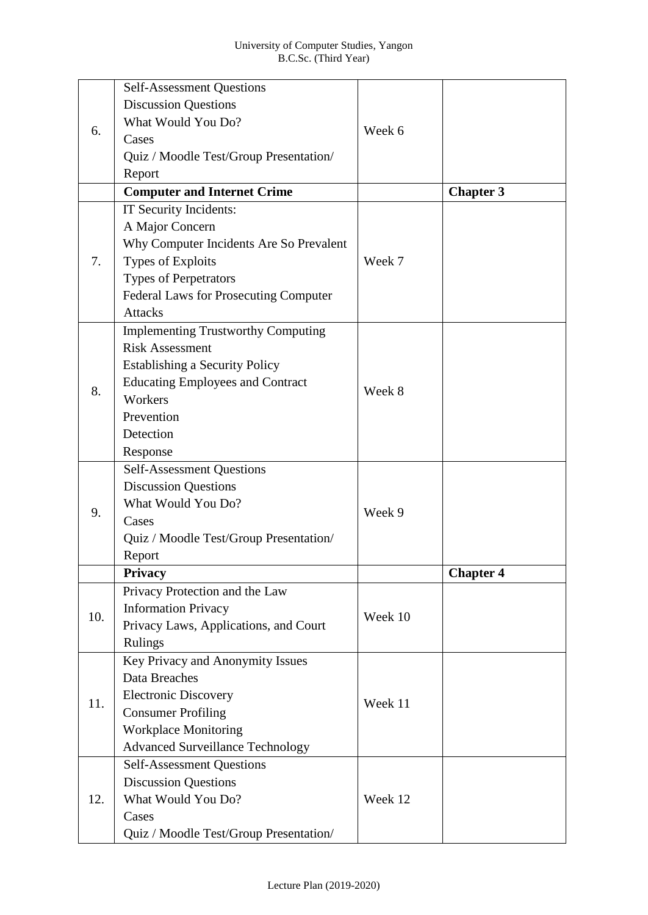|     | <b>Self-Assessment Questions</b>             |         |                  |
|-----|----------------------------------------------|---------|------------------|
|     | <b>Discussion Questions</b>                  |         |                  |
|     | What Would You Do?                           |         |                  |
| 6.  | Cases                                        | Week 6  |                  |
|     | Quiz / Moodle Test/Group Presentation/       |         |                  |
|     | Report                                       |         |                  |
|     | <b>Computer and Internet Crime</b>           |         | <b>Chapter 3</b> |
|     | IT Security Incidents:                       |         |                  |
|     | A Major Concern                              |         |                  |
|     | Why Computer Incidents Are So Prevalent      |         |                  |
| 7.  | Types of Exploits                            | Week 7  |                  |
|     | <b>Types of Perpetrators</b>                 |         |                  |
|     | <b>Federal Laws for Prosecuting Computer</b> |         |                  |
|     | <b>Attacks</b>                               |         |                  |
|     | <b>Implementing Trustworthy Computing</b>    |         |                  |
|     | <b>Risk Assessment</b>                       |         |                  |
|     | <b>Establishing a Security Policy</b>        |         |                  |
|     | <b>Educating Employees and Contract</b>      |         |                  |
| 8.  | Workers                                      | Week 8  |                  |
|     | Prevention                                   |         |                  |
|     | Detection                                    |         |                  |
|     | Response                                     |         |                  |
|     | <b>Self-Assessment Questions</b>             |         |                  |
|     | <b>Discussion Questions</b>                  |         |                  |
|     | What Would You Do?                           |         |                  |
| 9.  | Cases                                        | Week 9  |                  |
|     | Quiz / Moodle Test/Group Presentation/       |         |                  |
|     | Report                                       |         |                  |
|     | <b>Privacy</b>                               |         | <b>Chapter 4</b> |
|     | Privacy Protection and the Law               |         |                  |
| 10. | <b>Information Privacy</b>                   | Week 10 |                  |
|     | Privacy Laws, Applications, and Court        |         |                  |
|     | <b>Rulings</b>                               |         |                  |
|     | Key Privacy and Anonymity Issues             |         |                  |
|     | Data Breaches                                |         |                  |
| 11. | <b>Electronic Discovery</b>                  | Week 11 |                  |
|     | <b>Consumer Profiling</b>                    |         |                  |
|     | <b>Workplace Monitoring</b>                  |         |                  |
|     | <b>Advanced Surveillance Technology</b>      |         |                  |
|     | <b>Self-Assessment Questions</b>             |         |                  |
| 12. | <b>Discussion Questions</b>                  |         |                  |
|     | What Would You Do?                           | Week 12 |                  |
|     | Cases                                        |         |                  |
|     | Quiz / Moodle Test/Group Presentation/       |         |                  |